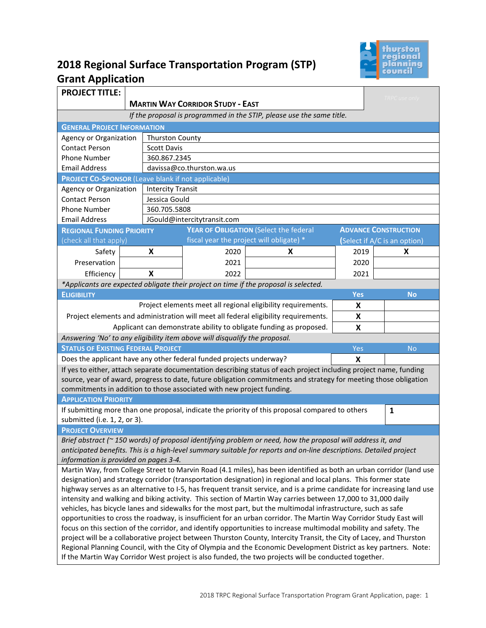

# **2018 Regional Surface Transportation Program (STP) Grant Application**

| <b>PROJECT TITLE:</b>                                                                                                                                        |                                                                                                                     |                                             |               |                                                                                                                   |            | TRPC use only                |  |  |
|--------------------------------------------------------------------------------------------------------------------------------------------------------------|---------------------------------------------------------------------------------------------------------------------|---------------------------------------------|---------------|-------------------------------------------------------------------------------------------------------------------|------------|------------------------------|--|--|
|                                                                                                                                                              | <b>MARTIN WAY CORRIDOR STUDY - EAST</b>                                                                             |                                             |               |                                                                                                                   |            |                              |  |  |
| If the proposal is programmed in the STIP, please use the same title.                                                                                        |                                                                                                                     |                                             |               |                                                                                                                   |            |                              |  |  |
| <b>GENERAL PROJECT INFORMATION</b>                                                                                                                           |                                                                                                                     |                                             |               |                                                                                                                   |            |                              |  |  |
| <b>Agency or Organization</b>                                                                                                                                |                                                                                                                     | <b>Thurston County</b>                      |               |                                                                                                                   |            |                              |  |  |
| <b>Contact Person</b>                                                                                                                                        |                                                                                                                     | <b>Scott Davis</b>                          |               |                                                                                                                   |            |                              |  |  |
| <b>Phone Number</b><br><b>Email Address</b>                                                                                                                  |                                                                                                                     | 360.867.2345<br>davissa@co.thurston.wa.us   |               |                                                                                                                   |            |                              |  |  |
|                                                                                                                                                              |                                                                                                                     |                                             |               |                                                                                                                   |            |                              |  |  |
| Agency or Organization                                                                                                                                       | <b>PROJECT CO-SPONSOR (Leave blank if not applicable)</b><br><b>Intercity Transit</b>                               |                                             |               |                                                                                                                   |            |                              |  |  |
| <b>Contact Person</b>                                                                                                                                        |                                                                                                                     |                                             |               |                                                                                                                   |            |                              |  |  |
| <b>Phone Number</b>                                                                                                                                          |                                                                                                                     |                                             | Jessica Gould |                                                                                                                   |            |                              |  |  |
| <b>Email Address</b>                                                                                                                                         |                                                                                                                     | 360.705.5808<br>JGould@intercitytransit.com |               |                                                                                                                   |            |                              |  |  |
| <b>REGIONAL FUNDING PRIORITY</b>                                                                                                                             |                                                                                                                     |                                             |               | YEAR OF OBLIGATION (Select the federal                                                                            |            | <b>ADVANCE CONSTRUCTION</b>  |  |  |
| (check all that apply)                                                                                                                                       |                                                                                                                     |                                             |               | fiscal year the project will obligate) *                                                                          |            | (Select if A/C is an option) |  |  |
| Safety                                                                                                                                                       |                                                                                                                     | X                                           | 2020          | X                                                                                                                 | 2019       | X                            |  |  |
| Preservation                                                                                                                                                 |                                                                                                                     |                                             | 2021          |                                                                                                                   | 2020       |                              |  |  |
| Efficiency                                                                                                                                                   |                                                                                                                     | X                                           | 2022          |                                                                                                                   | 2021       |                              |  |  |
|                                                                                                                                                              |                                                                                                                     |                                             |               | *Applicants are expected obligate their project on time if the proposal is selected.                              |            |                              |  |  |
| <b>ELIGIBILITY</b>                                                                                                                                           |                                                                                                                     |                                             |               |                                                                                                                   | <b>Yes</b> | <b>No</b>                    |  |  |
|                                                                                                                                                              |                                                                                                                     |                                             |               | Project elements meet all regional eligibility requirements.                                                      | X          |                              |  |  |
|                                                                                                                                                              |                                                                                                                     |                                             |               | Project elements and administration will meet all federal eligibility requirements.                               | X          |                              |  |  |
|                                                                                                                                                              |                                                                                                                     |                                             |               |                                                                                                                   | X          |                              |  |  |
| Applicant can demonstrate ability to obligate funding as proposed.<br>Answering 'No' to any eligibility item above will disqualify the proposal.             |                                                                                                                     |                                             |               |                                                                                                                   |            |                              |  |  |
| <b>STATUS OF EXISTING FEDERAL PROJECT</b>                                                                                                                    |                                                                                                                     |                                             |               |                                                                                                                   | Yes        | <b>No</b>                    |  |  |
| Does the applicant have any other federal funded projects underway?<br>X                                                                                     |                                                                                                                     |                                             |               |                                                                                                                   |            |                              |  |  |
|                                                                                                                                                              |                                                                                                                     |                                             |               | If yes to either, attach separate documentation describing status of each project including project name, funding |            |                              |  |  |
|                                                                                                                                                              |                                                                                                                     |                                             |               | source, year of award, progress to date, future obligation commitments and strategy for meeting those obligation  |            |                              |  |  |
| commitments in addition to those associated with new project funding.                                                                                        |                                                                                                                     |                                             |               |                                                                                                                   |            |                              |  |  |
| <b>APPLICATION PRIORITY</b>                                                                                                                                  |                                                                                                                     |                                             |               |                                                                                                                   |            |                              |  |  |
|                                                                                                                                                              |                                                                                                                     |                                             |               | If submitting more than one proposal, indicate the priority of this proposal compared to others                   |            | $\mathbf{1}$                 |  |  |
| submitted (i.e. 1, 2, or 3).                                                                                                                                 |                                                                                                                     |                                             |               |                                                                                                                   |            |                              |  |  |
| <b>PROJECT OVERVIEW</b>                                                                                                                                      |                                                                                                                     |                                             |               |                                                                                                                   |            |                              |  |  |
| Brief abstract (~ 150 words) of proposal identifying problem or need, how the proposal will address it, and                                                  |                                                                                                                     |                                             |               |                                                                                                                   |            |                              |  |  |
| anticipated benefits. This is a high-level summary suitable for reports and on-line descriptions. Detailed project                                           |                                                                                                                     |                                             |               |                                                                                                                   |            |                              |  |  |
| information is provided on pages 3-4.<br>Martin Way, from College Street to Marvin Road (4.1 miles), has been identified as both an urban corridor (land use |                                                                                                                     |                                             |               |                                                                                                                   |            |                              |  |  |
| designation) and strategy corridor (transportation designation) in regional and local plans. This former state                                               |                                                                                                                     |                                             |               |                                                                                                                   |            |                              |  |  |
| highway serves as an alternative to I-5, has frequent transit service, and is a prime candidate for increasing land use                                      |                                                                                                                     |                                             |               |                                                                                                                   |            |                              |  |  |
| intensity and walking and biking activity. This section of Martin Way carries between 17,000 to 31,000 daily                                                 |                                                                                                                     |                                             |               |                                                                                                                   |            |                              |  |  |
| vehicles, has bicycle lanes and sidewalks for the most part, but the multimodal infrastructure, such as safe                                                 |                                                                                                                     |                                             |               |                                                                                                                   |            |                              |  |  |
| opportunities to cross the roadway, is insufficient for an urban corridor. The Martin Way Corridor Study East will                                           |                                                                                                                     |                                             |               |                                                                                                                   |            |                              |  |  |
| focus on this section of the corridor, and identify opportunities to increase multimodal mobility and safety. The                                            |                                                                                                                     |                                             |               |                                                                                                                   |            |                              |  |  |
|                                                                                                                                                              | project will be a collaborative project between Thurston County, Intercity Transit, the City of Lacey, and Thurston |                                             |               |                                                                                                                   |            |                              |  |  |
| Regional Planning Council, with the City of Olympia and the Economic Development District as key partners. Note:                                             |                                                                                                                     |                                             |               |                                                                                                                   |            |                              |  |  |
| If the Martin Way Corridor West project is also funded, the two projects will be conducted together.                                                         |                                                                                                                     |                                             |               |                                                                                                                   |            |                              |  |  |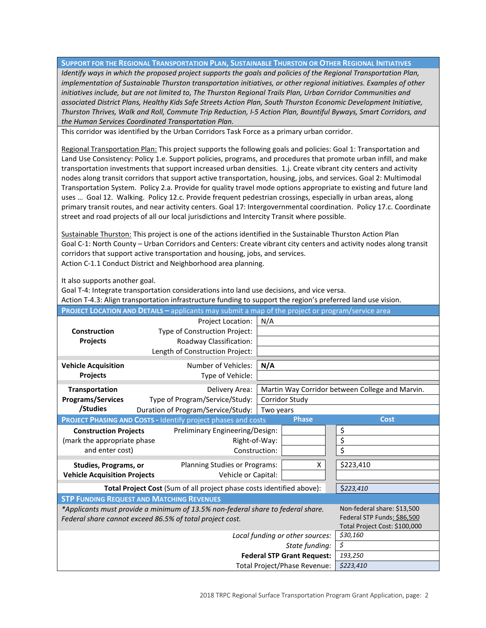**SUPPORT FOR THE REGIONAL TRANSPORTATION PLAN, SUSTAINABLE THURSTON OR OTHER REGIONAL INITIATIVES**

*Identify ways in which the proposed project supports the goals and policies of the Regional Transportation Plan, implementation of Sustainable Thurston transportation initiatives, or other regional initiatives. Examples of other*  initiatives include, but are not limited to, The Thurston Regional Trails Plan, Urban Corridor Communities and *associated District Plans, Healthy Kids Safe Streets Action Plan, South Thurston Economic Development Initiative, Thurston Thrives, Walk and Roll, Commute Trip Reduction, I-5 Action Plan, Bountiful Byways, Smart Corridors, and the Human Services Coordinated Transportation Plan.*

This corridor was identified by the Urban Corridors Task Force as a primary urban corridor.

Regional Transportation Plan: This project supports the following goals and policies: Goal 1: Transportation and Land Use Consistency: Policy 1.e. Support policies, programs, and procedures that promote urban infill, and make transportation investments that support increased urban densities. 1.j. Create vibrant city centers and activity nodes along transit corridors that support active transportation, housing, jobs, and services. Goal 2: Multimodal Transportation System. Policy 2.a. Provide for quality travel mode options appropriate to existing and future land uses … Goal 12. Walking. Policy 12.c. Provide frequent pedestrian crossings, especially in urban areas, along primary transit routes, and near activity centers. Goal 17: Intergovernmental coordination. Policy 17.c. Coordinate street and road projects of all our local jurisdictions and Intercity Transit where possible.

Sustainable Thurston: This project is one of the actions identified in the Sustainable Thurston Action Plan Goal C-1: North County – Urban Corridors and Centers: Create vibrant city centers and activity nodes along transit corridors that support active transportation and housing, jobs, and services. Action C-1.1 Conduct District and Neighborhood area planning.

It also supports another goal.

Goal T-4: Integrate transportation considerations into land use decisions, and vice versa.

Action T-4.3: Align transportation infrastructure funding to support the region's preferred land use vision.

| <b>PROJECT LOCATION AND DETAILS - applicants may submit a map of the project or program/service area</b> |                                                                       |                |                                                 |  |  |  |  |
|----------------------------------------------------------------------------------------------------------|-----------------------------------------------------------------------|----------------|-------------------------------------------------|--|--|--|--|
|                                                                                                          | Project Location:<br>N/A                                              |                |                                                 |  |  |  |  |
| <b>Construction</b>                                                                                      | Type of Construction Project:                                         |                |                                                 |  |  |  |  |
| Projects                                                                                                 | Roadway Classification:                                               |                |                                                 |  |  |  |  |
|                                                                                                          | Length of Construction Project:                                       |                |                                                 |  |  |  |  |
| <b>Vehicle Acquisition</b>                                                                               | Number of Vehicles:<br>N/A                                            |                |                                                 |  |  |  |  |
| <b>Projects</b>                                                                                          | Type of Vehicle:                                                      |                |                                                 |  |  |  |  |
|                                                                                                          |                                                                       |                |                                                 |  |  |  |  |
| Transportation                                                                                           | Delivery Area:                                                        |                | Martin Way Corridor between College and Marvin. |  |  |  |  |
| <b>Programs/Services</b>                                                                                 | Type of Program/Service/Study:                                        | Corridor Study |                                                 |  |  |  |  |
| /Studies                                                                                                 | Duration of Program/Service/Study:                                    | Two years      |                                                 |  |  |  |  |
|                                                                                                          | PROJECT PHASING AND COSTS - Identify project phases and costs         | <b>Phase</b>   | <b>Cost</b>                                     |  |  |  |  |
| <b>Construction Projects</b>                                                                             | Preliminary Engineering/Design:                                       |                | \$                                              |  |  |  |  |
| (mark the appropriate phase                                                                              | Right-of-Way:                                                         |                | \$                                              |  |  |  |  |
| and enter cost)                                                                                          | Construction:                                                         |                | \$                                              |  |  |  |  |
| <b>Studies, Programs, or</b>                                                                             | Planning Studies or Programs:                                         | X              | \$223,410                                       |  |  |  |  |
| <b>Vehicle Acquisition Projects</b>                                                                      | Vehicle or Capital:                                                   |                |                                                 |  |  |  |  |
|                                                                                                          | Total Project Cost (Sum of all project phase costs identified above): |                |                                                 |  |  |  |  |
|                                                                                                          | \$223,410                                                             |                |                                                 |  |  |  |  |
|                                                                                                          | <b>STP FUNDING REQUEST AND MATCHING REVENUES</b>                      |                |                                                 |  |  |  |  |
| *Applicants must provide a minimum of 13.5% non-federal share to federal share.                          | Non-federal share: \$13,500                                           |                |                                                 |  |  |  |  |
| Federal share cannot exceed 86.5% of total project cost.                                                 | Federal STP Funds: \$86,500                                           |                |                                                 |  |  |  |  |
|                                                                                                          | Total Project Cost: \$100,000                                         |                |                                                 |  |  |  |  |
|                                                                                                          | \$30,160                                                              |                |                                                 |  |  |  |  |
|                                                                                                          | \$                                                                    |                |                                                 |  |  |  |  |
|                                                                                                          | 193,250                                                               |                |                                                 |  |  |  |  |
|                                                                                                          | \$223,410                                                             |                |                                                 |  |  |  |  |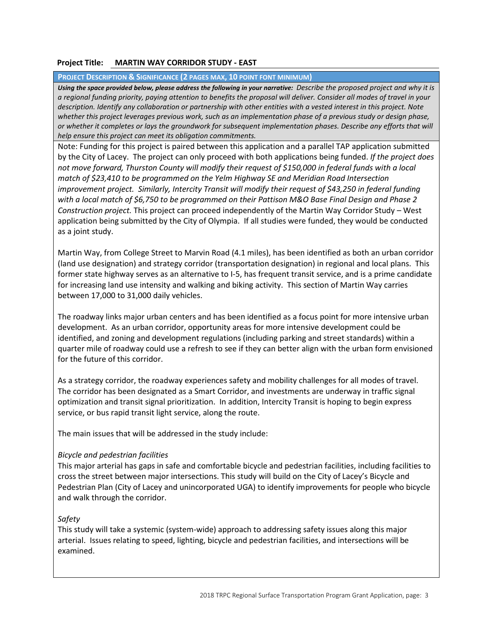### **Project Title: MARTIN WAY CORRIDOR STUDY - EAST**

**PROJECT DESCRIPTION & SIGNIFICANCE (2 PAGES MAX, 10 POINT FONT MINIMUM)**

*Using the space provided below, please address the following in your narrative: Describe the proposed project and why it is a regional funding priority, paying attention to benefits the proposal will deliver. Consider all modes of travel in your description. Identify any collaboration or partnership with other entities with a vested interest in this project. Note*  whether this project leverages previous work, such as an implementation phase of a previous study or design phase, *or whether it completes or lays the groundwork for subsequent implementation phases. Describe any efforts that will help ensure this project can meet its obligation commitments.* 

Note: Funding for this project is paired between this application and a parallel TAP application submitted by the City of Lacey. The project can only proceed with both applications being funded. *If the project does not move forward, Thurston County will modify their request of \$150,000 in federal funds with a local match of \$23,410 to be programmed on the Yelm Highway SE and Meridian Road Intersection improvement project. Similarly, Intercity Transit will modify their request of \$43,250 in federal funding with a local match of \$6,750 to be programmed on their Pattison M&O Base Final Design and Phase 2 Construction project.* This project can proceed independently of the Martin Way Corridor Study – West application being submitted by the City of Olympia. If all studies were funded, they would be conducted as a joint study.

Martin Way, from College Street to Marvin Road (4.1 miles), has been identified as both an urban corridor (land use designation) and strategy corridor (transportation designation) in regional and local plans. This former state highway serves as an alternative to I-5, has frequent transit service, and is a prime candidate for increasing land use intensity and walking and biking activity. This section of Martin Way carries between 17,000 to 31,000 daily vehicles.

The roadway links major urban centers and has been identified as a focus point for more intensive urban development. As an urban corridor, opportunity areas for more intensive development could be identified, and zoning and development regulations (including parking and street standards) within a quarter mile of roadway could use a refresh to see if they can better align with the urban form envisioned for the future of this corridor.

As a strategy corridor, the roadway experiences safety and mobility challenges for all modes of travel. The corridor has been designated as a Smart Corridor, and investments are underway in traffic signal optimization and transit signal prioritization. In addition, Intercity Transit is hoping to begin express service, or bus rapid transit light service, along the route.

The main issues that will be addressed in the study include:

#### *Bicycle and pedestrian facilities*

This major arterial has gaps in safe and comfortable bicycle and pedestrian facilities, including facilities to cross the street between major intersections. This study will build on the City of Lacey's Bicycle and Pedestrian Plan (City of Lacey and unincorporated UGA) to identify improvements for people who bicycle and walk through the corridor.

## *Safety*

This study will take a systemic (system-wide) approach to addressing safety issues along this major arterial. Issues relating to speed, lighting, bicycle and pedestrian facilities, and intersections will be examined.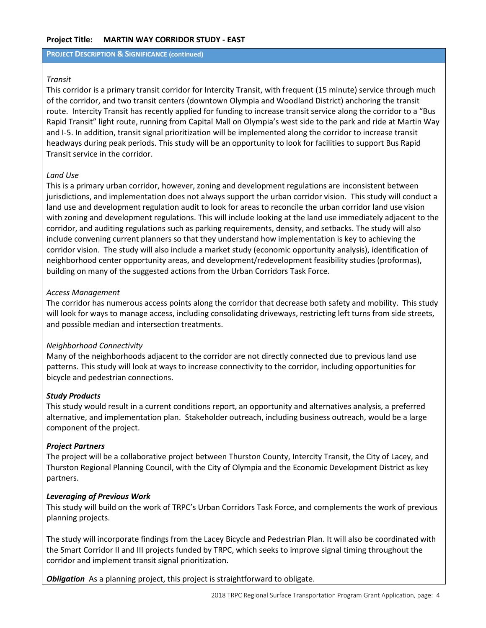#### **Project Title: MARTIN WAY CORRIDOR STUDY - EAST**

#### **PROJECT DESCRIPTION & SIGNIFICANCE (continued)**

#### *Transit*

This corridor is a primary transit corridor for Intercity Transit, with frequent (15 minute) service through much of the corridor, and two transit centers (downtown Olympia and Woodland District) anchoring the transit route. Intercity Transit has recently applied for funding to increase transit service along the corridor to a "Bus Rapid Transit" light route, running from Capital Mall on Olympia's west side to the park and ride at Martin Way and I-5. In addition, transit signal prioritization will be implemented along the corridor to increase transit headways during peak periods. This study will be an opportunity to look for facilities to support Bus Rapid Transit service in the corridor.

#### *Land Use*

This is a primary urban corridor, however, zoning and development regulations are inconsistent between jurisdictions, and implementation does not always support the urban corridor vision. This study will conduct a land use and development regulation audit to look for areas to reconcile the urban corridor land use vision with zoning and development regulations. This will include looking at the land use immediately adjacent to the corridor, and auditing regulations such as parking requirements, density, and setbacks. The study will also include convening current planners so that they understand how implementation is key to achieving the corridor vision. The study will also include a market study (economic opportunity analysis), identification of neighborhood center opportunity areas, and development/redevelopment feasibility studies (proformas), building on many of the suggested actions from the Urban Corridors Task Force.

#### *Access Management*

The corridor has numerous access points along the corridor that decrease both safety and mobility. This study will look for ways to manage access, including consolidating driveways, restricting left turns from side streets, and possible median and intersection treatments.

#### *Neighborhood Connectivity*

Many of the neighborhoods adjacent to the corridor are not directly connected due to previous land use patterns. This study will look at ways to increase connectivity to the corridor, including opportunities for bicycle and pedestrian connections.

#### *Study Products*

This study would result in a current conditions report, an opportunity and alternatives analysis, a preferred alternative, and implementation plan. Stakeholder outreach, including business outreach, would be a large component of the project.

#### *Project Partners*

The project will be a collaborative project between Thurston County, Intercity Transit, the City of Lacey, and Thurston Regional Planning Council, with the City of Olympia and the Economic Development District as key partners.

#### *Leveraging of Previous Work*

This study will build on the work of TRPC's Urban Corridors Task Force, and complements the work of previous planning projects.

The study will incorporate findings from the Lacey Bicycle and Pedestrian Plan. It will also be coordinated with the Smart Corridor II and III projects funded by TRPC, which seeks to improve signal timing throughout the corridor and implement transit signal prioritization.

**Obligation** As a planning project, this project is straightforward to obligate.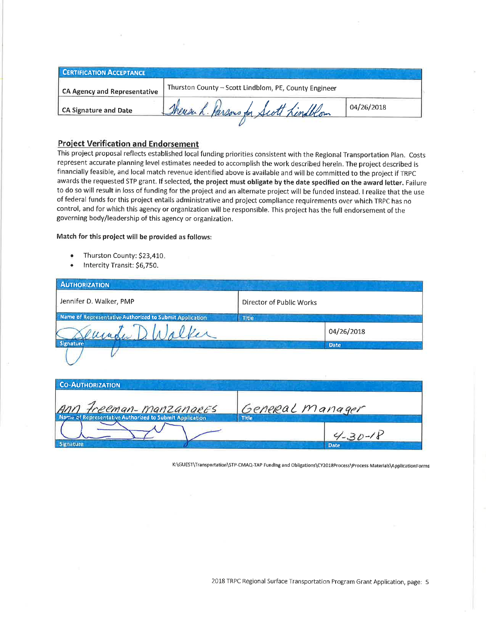| <b>CERTIFICATION ACCEPTANCE</b>     |                                                       |            |
|-------------------------------------|-------------------------------------------------------|------------|
| <b>CA Agency and Representative</b> | Thurston County - Scott Lindblom, PE, County Engineer |            |
| CA Signature and Date               | There & Parsons for Scott Lindblom                    | 04/26/2018 |
|                                     |                                                       |            |

# **Project Verification and Endorsement**

This project proposal reflects established local funding priorities consistent with the Regional Transportation Plan. Costs represent accurate planning level estimates needed to accomplish the work described herein. The project described is financially feasible, and local match revenue identified above is available and will be committed to the project if TRPC awards the requested STP grant. If selected, the project must obligate by the date specified on the award letter. Failure to do so will result in loss of funding for the project and an alternate project will be funded instead. I realize that the use of federal funds for this project entails administrative and project compliance requirements over which TRPC has no control, and for which this agency or organization will be responsible. This project has the full endorsement of the governing body/leadership of this agency or organization.

#### Match for this project will be provided as follows:

- Thurston County: \$23,410.
- Intercity Transit: \$6,750.

ignature

| <b>AUTHORIZATION</b>                                    |                          |             |  |
|---------------------------------------------------------|--------------------------|-------------|--|
| Jennifer D. Walker, PMP                                 | Director of Public Works |             |  |
| Name of Representative Authorized to Submit Application | Title                    |             |  |
| Jeunda D. U                                             |                          | 04/26/2018  |  |
| <b>Signature</b>                                        |                          | <b>Date</b> |  |
| <b>CO-AUTHORIZATION</b>                                 |                          |             |  |
|                                                         |                          |             |  |
| Ann Freeman-manzangees                                  | General manager          |             |  |
| Name of Representative Authorized to Submit Application | <b>Title</b>             |             |  |
|                                                         |                          | $4 - 30$    |  |

K:\GUEST\Transportation\STP-CMAQ-TAP FundIng and Obligations\CY2018Process\Process Materials\ApplicationForms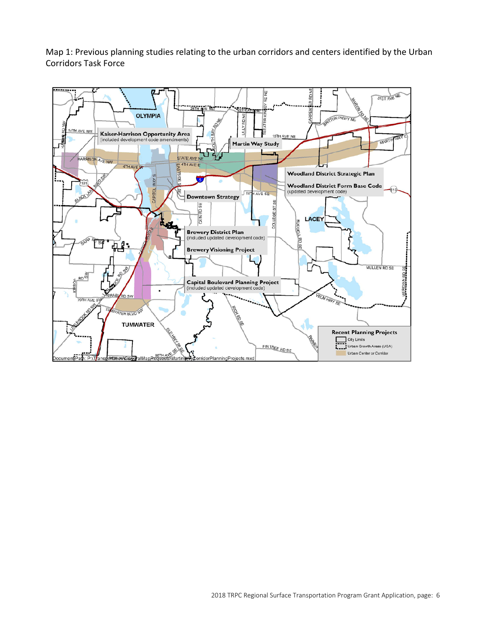Map 1: Previous planning studies relating to the urban corridors and centers identified by the Urban Corridors Task Force